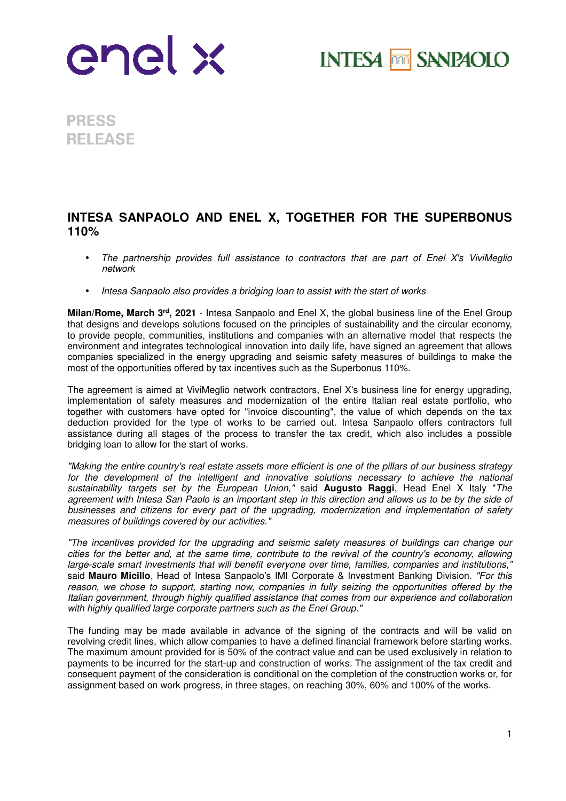

**INTESA MM SANPAOLO** 

**PRESS RELEASE** 

## **INTESA SANPAOLO AND ENEL X, TOGETHER FOR THE SUPERBONUS 110%**

- The partnership provides full assistance to contractors that are part of Enel X's ViviMeglio network
- Intesa Sanpaolo also provides a bridging loan to assist with the start of works

**Milan/Rome, March 3rd, 2021** - Intesa Sanpaolo and Enel X, the global business line of the Enel Group that designs and develops solutions focused on the principles of sustainability and the circular economy, to provide people, communities, institutions and companies with an alternative model that respects the environment and integrates technological innovation into daily life, have signed an agreement that allows companies specialized in the energy upgrading and seismic safety measures of buildings to make the most of the opportunities offered by tax incentives such as the Superbonus 110%.

The agreement is aimed at ViviMeglio network contractors, Enel X's business line for energy upgrading, implementation of safety measures and modernization of the entire Italian real estate portfolio, who together with customers have opted for "invoice discounting", the value of which depends on the tax deduction provided for the type of works to be carried out. Intesa Sanpaolo offers contractors full assistance during all stages of the process to transfer the tax credit, which also includes a possible bridging loan to allow for the start of works.

"Making the entire country's real estate assets more efficient is one of the pillars of our business strategy for the development of the intelligent and innovative solutions necessary to achieve the national sustainability targets set by the European Union," said **Augusto Raggi**, Head Enel X Italy "The agreement with Intesa San Paolo is an important step in this direction and allows us to be by the side of businesses and citizens for every part of the upgrading, modernization and implementation of safety measures of buildings covered by our activities."

"The incentives provided for the upgrading and seismic safety measures of buildings can change our cities for the better and, at the same time, contribute to the revival of the country's economy, allowing large-scale smart investments that will benefit everyone over time, families, companies and institutions, said **Mauro Micillo**, Head of Intesa Sanpaolo's IMI Corporate & Investment Banking Division. "For this reason, we chose to support, starting now, companies in fully seizing the opportunities offered by the Italian government, through highly qualified assistance that comes from our experience and collaboration with highly qualified large corporate partners such as the Enel Group."

The funding may be made available in advance of the signing of the contracts and will be valid on revolving credit lines, which allow companies to have a defined financial framework before starting works. The maximum amount provided for is 50% of the contract value and can be used exclusively in relation to payments to be incurred for the start-up and construction of works. The assignment of the tax credit and consequent payment of the consideration is conditional on the completion of the construction works or, for assignment based on work progress, in three stages, on reaching 30%, 60% and 100% of the works.